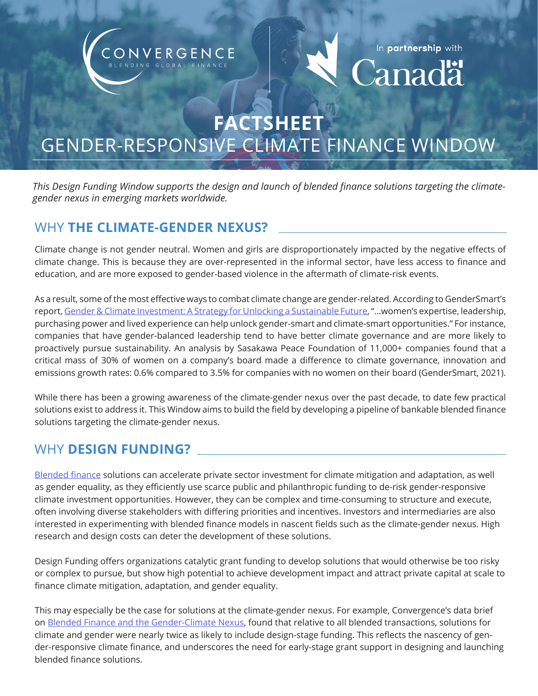# NVERGENCE



**FACTSHEET**

## GENDER-RESPONSIVE CLIMATE FINANCE WINDOW

*This Design Funding Window supports the design and launch of blended finance solutions targeting the climategender nexus in emerging markets worldwide.*

## WHY **THE CLIMATE-GENDER NEXUS?**

Climate change is not gender neutral. Women and girls are disproportionately impacted by the negative effects of climate change. This is because they are over-represented in the informal sector, have less access to finance and education, and are more exposed to gender-based violence in the aftermath of climate-risk events.

As a result, some of the most effective ways to combat climate change are gender-related. According to GenderSmart's report, [Gender & Climate Investment: A Strategy for Unlocking a Sustainable Future, "](https://www.gendersmartinvesting.com/climate-gender-working-group-about)...women's expertise, leadership, purchasing power and lived experience can help unlock gender-smart and climate-smart opportunities." For instance, companies that have gender-balanced leadership tend to have better climate governance and are more likely to proactively pursue sustainability. An analysis by Sasakawa Peace Foundation of 11,000+ companies found that a critical mass of 30% of women on a company's board made a difference to climate governance, innovation and emissions growth rates: 0.6% compared to 3.5% for companies with no women on their board (GenderSmart, 2021).

While there has been a growing awareness of the climate-gender nexus over the past decade, to date few practical solutions exist to address it. This Window aims to build the field by developing a pipeline of bankable blended finance solutions targeting the climate-gender nexus.

## WHY **DESIGN FUNDING?**

[Blended finance s](https://www.convergence.finance/blended-finance)olutions can accelerate private sector investment for climate mitigation and adaptation, as well as gender equality, as they efficiently use scarce public and philanthropic funding to de-risk gender-responsive climate investment opportunities. However, they can be complex and time-consuming to structure and execute, often involving diverse stakeholders with differing priorities and incentives. Investors and intermediaries are also interested in experimenting with blended finance models in nascent fields such as the climate-gender nexus. High research and design costs can deter the development of these solutions.

Design Funding offers organizations catalytic grant funding to develop solutions that would otherwise be too risky or complex to pursue, but show high potential to achieve development impact and attract private capital at scale to finance climate mitigation, adaptation, and gender equality.

This may especially be the case for solutions at the climate-gender nexus. For example, Convergence's data brief on [Blended Finance and the Gender-Climate Nexus,](https://www.convergence.finance/resource/81d5bab7-3569-4959-a79b-4aae253277b5/view) found that relative to all blended transactions, solutions for climate and gender were nearly twice as likely to include design-stage funding. This reflects the nascency of gender-responsive climate finance, and underscores the need for early-stage grant support in designing and launching blended finance solutions.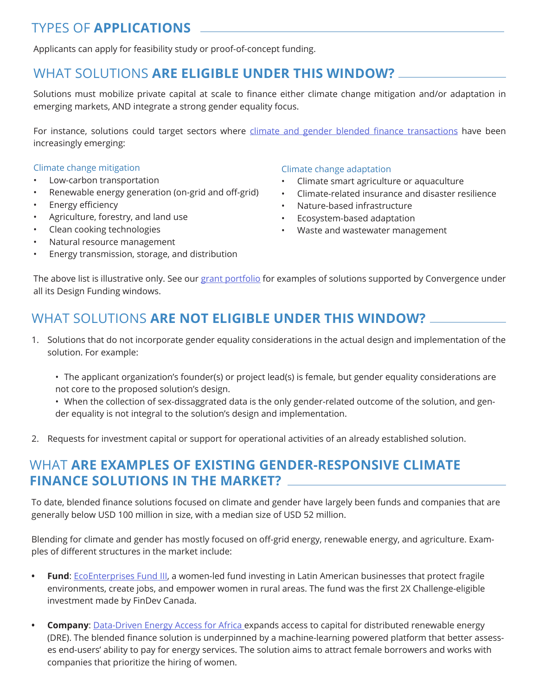## TYPES OF **APPLICATIONS**

Applicants can apply for feasibility study or proof-of-concept funding.

## WHAT SOLUTIONS **ARE ELIGIBLE UNDER THIS WINDOW?**

Solutions must mobilize private capital at scale to finance either climate change mitigation and/or adaptation in emerging markets, AND integrate a strong gender equality focus.

For instance, solutions could target sectors where [climate and gender blended finance transactions](https://www.convergence.finance/resource/81d5bab7-3569-4959-a79b-4aae253277b5/view) have been increasingly emerging:

#### Climate change mitigation

- Low-carbon transportation
- Renewable energy generation (on-grid and off-grid)
- Energy efficiency
- Agriculture, forestry, and land use
- Clean cooking technologies
- Natural resource management
- Energy transmission, storage, and distribution

#### Climate change adaptation

- Climate smart agriculture or aquaculture
- Climate-related insurance and disaster resilience
- Nature-based infrastructure
- Ecosystem-based adaptation
- Waste and wastewater management

The above list is illustrative only. See our [grant portfolio](https://www.convergence.finance/design-funding/grant-portfolio) for examples of solutions supported by Convergence under all its Design Funding windows.

## WHAT SOLUTIONS **ARE NOT ELIGIBLE UNDER THIS WINDOW?**

- 1. Solutions that do not incorporate gender equality considerations in the actual design and implementation of the solution. For example:
	- The applicant organization's founder(s) or project lead(s) is female, but gender equality considerations are not core to the proposed solution's design.
	- When the collection of sex-dissaggrated data is the only gender-related outcome of the solution, and gender equality is not integral to the solution's design and implementation.
- 2. Requests for investment capital or support for operational activities of an already established solution.

### WHAT **ARE EXAMPLES OF EXISTING GENDER-RESPONSIVE CLIMATE FINANCE SOLUTIONS IN THE MARKET?**

To date, blended finance solutions focused on climate and gender have largely been funds and companies that are generally below USD 100 million in size, with a median size of USD 52 million.

Blending for climate and gender has mostly focused on off-grid energy, renewable energy, and agriculture. Examples of different structures in the market include:

- **• Fund**: [EcoEnterprises Fund III, a](https://www.newswire.ca/news-releases/findev-canada-invests-in-ecoenterprises-fund-to-support-sustainable-smes-in-latin-america-825900051.html) women-led fund investing in Latin American businesses that protect fragile environments, create jobs, and empower women in rural areas. The fund was the first 2X Challenge-eligible investment made by FinDev Canada.
- **• Company**: [Data-Driven Energy Access for Africa](https://www.climatefinancelab.org/project/data-driven-energy-access-for-africa/) expands access to capital for distributed renewable energy (DRE). The blended finance solution is underpinned by a machine-learning powered platform that better assesses end-users' ability to pay for energy services. The solution aims to attract female borrowers and works with companies that prioritize the hiring of women.